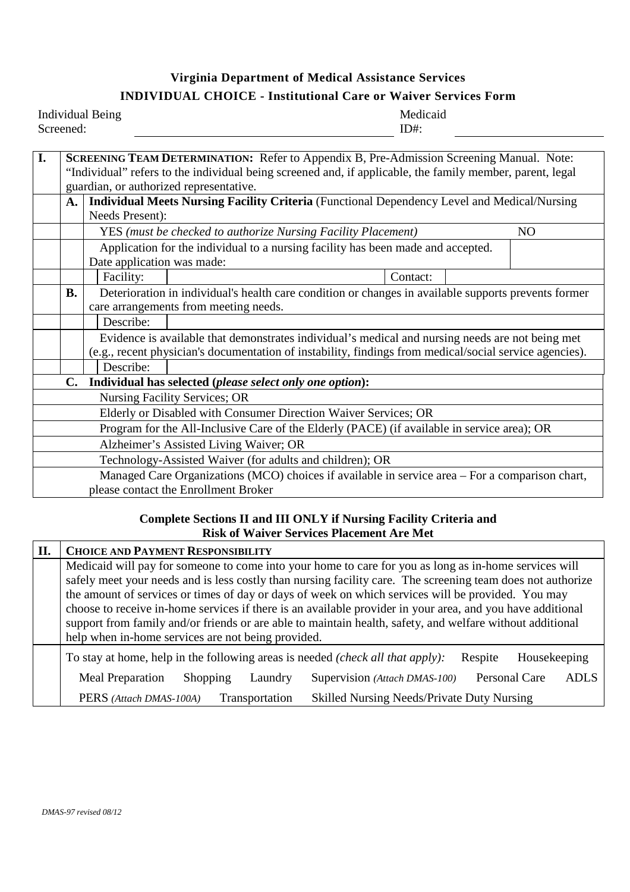## **Virginia Department of Medical Assistance Services INDIVIDUAL CHOICE - Institutional Care or Waiver Services Form**

| <b>Individual Being</b> | Medicaid |
|-------------------------|----------|
| Screened:               | D#       |

| I.                                                                                              |                                      |                                                                                                                                                                                                              |                                                                                                         |          |  |                |
|-------------------------------------------------------------------------------------------------|--------------------------------------|--------------------------------------------------------------------------------------------------------------------------------------------------------------------------------------------------------------|---------------------------------------------------------------------------------------------------------|----------|--|----------------|
|                                                                                                 |                                      | <b>SCREENING TEAM DETERMINATION:</b> Refer to Appendix B, Pre-Admission Screening Manual. Note:<br>"Individual" refers to the individual being screened and, if applicable, the family member, parent, legal |                                                                                                         |          |  |                |
|                                                                                                 |                                      | guardian, or authorized representative.                                                                                                                                                                      |                                                                                                         |          |  |                |
|                                                                                                 | A.                                   |                                                                                                                                                                                                              | <b>Individual Meets Nursing Facility Criteria</b> (Functional Dependency Level and Medical/Nursing      |          |  |                |
|                                                                                                 |                                      | Needs Present):                                                                                                                                                                                              |                                                                                                         |          |  |                |
|                                                                                                 |                                      |                                                                                                                                                                                                              | YES (must be checked to authorize Nursing Facility Placement)                                           |          |  | N <sub>O</sub> |
|                                                                                                 |                                      |                                                                                                                                                                                                              |                                                                                                         |          |  |                |
|                                                                                                 |                                      | Application for the individual to a nursing facility has been made and accepted.                                                                                                                             |                                                                                                         |          |  |                |
|                                                                                                 |                                      | Date application was made:                                                                                                                                                                                   |                                                                                                         |          |  |                |
|                                                                                                 |                                      | Facility:                                                                                                                                                                                                    |                                                                                                         | Contact: |  |                |
|                                                                                                 | <b>B.</b>                            |                                                                                                                                                                                                              | Deterioration in individual's health care condition or changes in available supports prevents former    |          |  |                |
|                                                                                                 |                                      |                                                                                                                                                                                                              | care arrangements from meeting needs.                                                                   |          |  |                |
|                                                                                                 |                                      | Describe:                                                                                                                                                                                                    |                                                                                                         |          |  |                |
|                                                                                                 |                                      |                                                                                                                                                                                                              | Evidence is available that demonstrates individual's medical and nursing needs are not being met        |          |  |                |
|                                                                                                 |                                      |                                                                                                                                                                                                              | (e.g., recent physician's documentation of instability, findings from medical/social service agencies). |          |  |                |
|                                                                                                 |                                      | Describe:                                                                                                                                                                                                    |                                                                                                         |          |  |                |
|                                                                                                 | C.                                   |                                                                                                                                                                                                              | Individual has selected (please select only one option):                                                |          |  |                |
|                                                                                                 |                                      |                                                                                                                                                                                                              | <b>Nursing Facility Services; OR</b>                                                                    |          |  |                |
|                                                                                                 |                                      |                                                                                                                                                                                                              | Elderly or Disabled with Consumer Direction Waiver Services; OR                                         |          |  |                |
|                                                                                                 |                                      |                                                                                                                                                                                                              | Program for the All-Inclusive Care of the Elderly (PACE) (if available in service area); OR             |          |  |                |
| Alzheimer's Assisted Living Waiver; OR                                                          |                                      |                                                                                                                                                                                                              |                                                                                                         |          |  |                |
| Technology-Assisted Waiver (for adults and children); OR                                        |                                      |                                                                                                                                                                                                              |                                                                                                         |          |  |                |
| Managed Care Organizations (MCO) choices if available in service area – For a comparison chart, |                                      |                                                                                                                                                                                                              |                                                                                                         |          |  |                |
|                                                                                                 | please contact the Enrollment Broker |                                                                                                                                                                                                              |                                                                                                         |          |  |                |

## **Complete Sections II and III ONLY if Nursing Facility Criteria and Risk of Waiver Services Placement Are Met**

| П. | <b>CHOICE AND PAYMENT RESPONSIBILITY</b>                                                                    |  |  |  |
|----|-------------------------------------------------------------------------------------------------------------|--|--|--|
|    | Medicaid will pay for someone to come into your home to care for you as long as in-home services will       |  |  |  |
|    | safely meet your needs and is less costly than nursing facility care. The screening team does not authorize |  |  |  |
|    | the amount of services or times of day or days of week on which services will be provided. You may          |  |  |  |
|    | choose to receive in-home services if there is an available provider in your area, and you have additional  |  |  |  |
|    | support from family and/or friends or are able to maintain health, safety, and welfare without additional   |  |  |  |
|    | help when in-home services are not being provided.                                                          |  |  |  |
|    | To stay at home, help in the following areas is needed (check all that apply):<br>Housekeeping<br>Respite   |  |  |  |
|    | Personal Care<br>Supervision (Attach DMAS-100)<br>Meal Preparation<br>ADLS<br>Laundry<br>Shopping           |  |  |  |
|    | <b>Skilled Nursing Needs/Private Duty Nursing</b><br>Transportation<br>PERS (Attach DMAS-100A)              |  |  |  |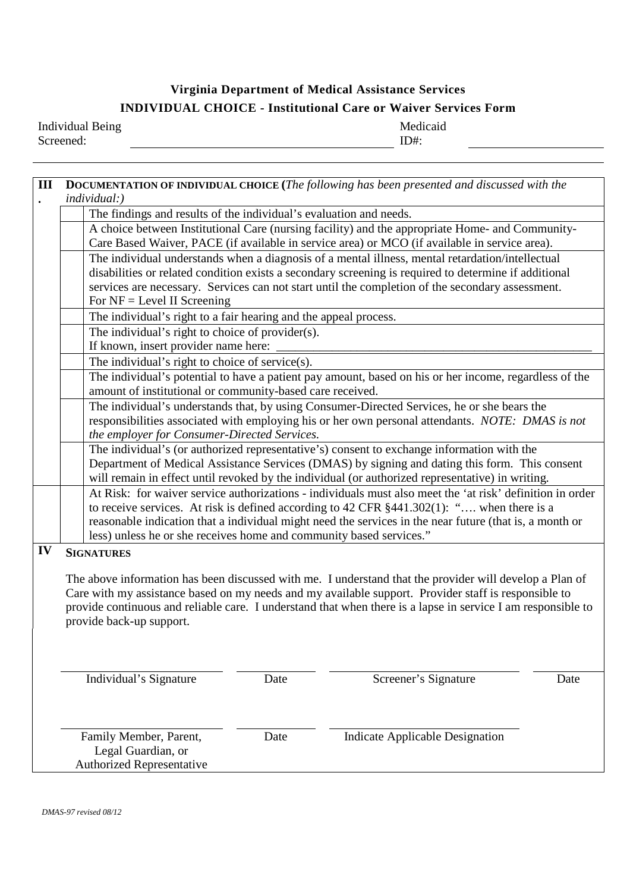# **Virginia Department of Medical Assistance Services INDIVIDUAL CHOICE - Institutional Care or Waiver Services Form**

Individual Being Screened:

Medicaid ID#:

| III |                                                                                                                                                                                                           | <b>DOCUMENTATION OF INDIVIDUAL CHOICE (The following has been presented and discussed with the</b>                                                                                                            |  |  |  |  |  |
|-----|-----------------------------------------------------------------------------------------------------------------------------------------------------------------------------------------------------------|---------------------------------------------------------------------------------------------------------------------------------------------------------------------------------------------------------------|--|--|--|--|--|
|     |                                                                                                                                                                                                           | $individual:$ )                                                                                                                                                                                               |  |  |  |  |  |
|     |                                                                                                                                                                                                           |                                                                                                                                                                                                               |  |  |  |  |  |
|     |                                                                                                                                                                                                           | The findings and results of the individual's evaluation and needs.                                                                                                                                            |  |  |  |  |  |
|     |                                                                                                                                                                                                           | A choice between Institutional Care (nursing facility) and the appropriate Home- and Community-                                                                                                               |  |  |  |  |  |
|     |                                                                                                                                                                                                           | Care Based Waiver, PACE (if available in service area) or MCO (if available in service area).                                                                                                                 |  |  |  |  |  |
|     |                                                                                                                                                                                                           | The individual understands when a diagnosis of a mental illness, mental retardation/intellectual<br>disabilities or related condition exists a secondary screening is required to determine if additional     |  |  |  |  |  |
|     |                                                                                                                                                                                                           | services are necessary. Services can not start until the completion of the secondary assessment.                                                                                                              |  |  |  |  |  |
|     |                                                                                                                                                                                                           | For $NF = Level II$ Screening                                                                                                                                                                                 |  |  |  |  |  |
|     |                                                                                                                                                                                                           |                                                                                                                                                                                                               |  |  |  |  |  |
|     |                                                                                                                                                                                                           | The individual's right to a fair hearing and the appeal process.                                                                                                                                              |  |  |  |  |  |
|     |                                                                                                                                                                                                           | The individual's right to choice of provider(s).                                                                                                                                                              |  |  |  |  |  |
|     |                                                                                                                                                                                                           | If known, insert provider name here:                                                                                                                                                                          |  |  |  |  |  |
|     | The individual's right to choice of service(s).                                                                                                                                                           |                                                                                                                                                                                                               |  |  |  |  |  |
|     |                                                                                                                                                                                                           | The individual's potential to have a patient pay amount, based on his or her income, regardless of the                                                                                                        |  |  |  |  |  |
|     |                                                                                                                                                                                                           | amount of institutional or community-based care received.                                                                                                                                                     |  |  |  |  |  |
|     |                                                                                                                                                                                                           | The individual's understands that, by using Consumer-Directed Services, he or she bears the                                                                                                                   |  |  |  |  |  |
|     |                                                                                                                                                                                                           | responsibilities associated with employing his or her own personal attendants. NOTE: DMAS is not                                                                                                              |  |  |  |  |  |
|     |                                                                                                                                                                                                           | the employer for Consumer-Directed Services.                                                                                                                                                                  |  |  |  |  |  |
|     |                                                                                                                                                                                                           | The individual's (or authorized representative's) consent to exchange information with the                                                                                                                    |  |  |  |  |  |
|     |                                                                                                                                                                                                           | Department of Medical Assistance Services (DMAS) by signing and dating this form. This consent                                                                                                                |  |  |  |  |  |
|     |                                                                                                                                                                                                           | will remain in effect until revoked by the individual (or authorized representative) in writing.<br>At Risk: for waiver service authorizations - individuals must also meet the 'at risk' definition in order |  |  |  |  |  |
|     |                                                                                                                                                                                                           |                                                                                                                                                                                                               |  |  |  |  |  |
|     | to receive services. At risk is defined according to 42 CFR $\S$ 441.302(1): " when there is a<br>reasonable indication that a individual might need the services in the near future (that is, a month or |                                                                                                                                                                                                               |  |  |  |  |  |
|     |                                                                                                                                                                                                           | less) unless he or she receives home and community based services."                                                                                                                                           |  |  |  |  |  |
| IV  |                                                                                                                                                                                                           |                                                                                                                                                                                                               |  |  |  |  |  |
|     |                                                                                                                                                                                                           | <b>SIGNATURES</b>                                                                                                                                                                                             |  |  |  |  |  |
|     |                                                                                                                                                                                                           | The above information has been discussed with me. I understand that the provider will develop a Plan of                                                                                                       |  |  |  |  |  |
|     |                                                                                                                                                                                                           | Care with my assistance based on my needs and my available support. Provider staff is responsible to                                                                                                          |  |  |  |  |  |
|     |                                                                                                                                                                                                           | provide continuous and reliable care. I understand that when there is a lapse in service I am responsible to                                                                                                  |  |  |  |  |  |
|     |                                                                                                                                                                                                           | provide back-up support.                                                                                                                                                                                      |  |  |  |  |  |
|     |                                                                                                                                                                                                           |                                                                                                                                                                                                               |  |  |  |  |  |
|     |                                                                                                                                                                                                           |                                                                                                                                                                                                               |  |  |  |  |  |
|     |                                                                                                                                                                                                           |                                                                                                                                                                                                               |  |  |  |  |  |
|     |                                                                                                                                                                                                           | Individual's Signature<br>Screener's Signature<br>Date<br>Date                                                                                                                                                |  |  |  |  |  |
|     |                                                                                                                                                                                                           |                                                                                                                                                                                                               |  |  |  |  |  |
|     |                                                                                                                                                                                                           |                                                                                                                                                                                                               |  |  |  |  |  |
|     |                                                                                                                                                                                                           |                                                                                                                                                                                                               |  |  |  |  |  |
|     |                                                                                                                                                                                                           | <b>Indicate Applicable Designation</b><br>Family Member, Parent,<br>Date                                                                                                                                      |  |  |  |  |  |
|     |                                                                                                                                                                                                           | Legal Guardian, or                                                                                                                                                                                            |  |  |  |  |  |
|     |                                                                                                                                                                                                           | <b>Authorized Representative</b>                                                                                                                                                                              |  |  |  |  |  |
|     |                                                                                                                                                                                                           |                                                                                                                                                                                                               |  |  |  |  |  |